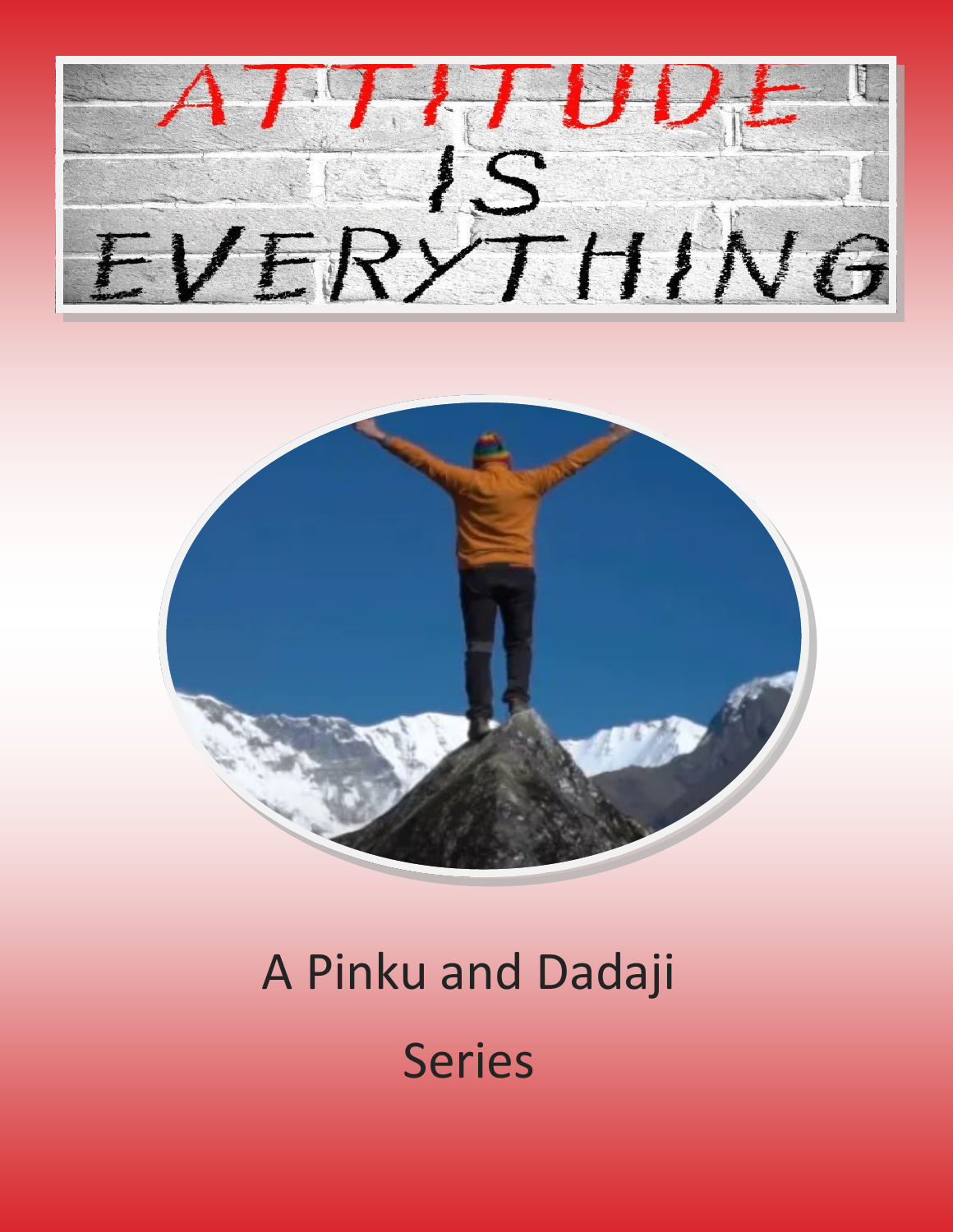



# A Pinku and Dadaji Series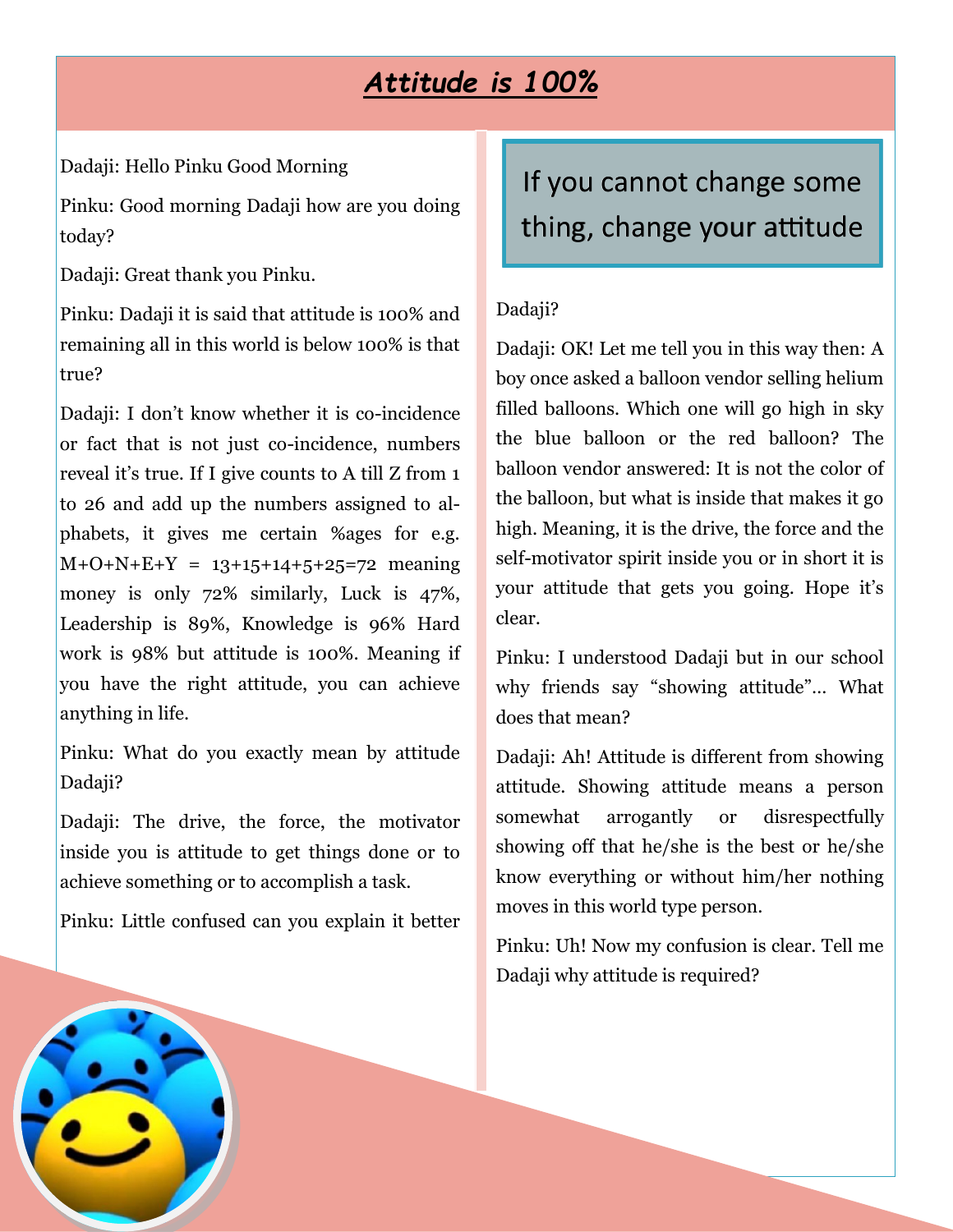### *Attitude is 100%*

Dadaji: Hello Pinku Good Morning

Pinku: Good morning Dadaji how are you doing today?

Dadaji: Great thank you Pinku.

Pinku: Dadaji it is said that attitude is 100% and remaining all in this world is below 100% is that true?

Dadaji: I don't know whether it is co-incidence or fact that is not just co-incidence, numbers reveal it's true. If I give counts to A till Z from 1 to 26 and add up the numbers assigned to alphabets, it gives me certain %ages for e.g.  $M+O+N+E+Y = 13+15+14+5+25=72$  meaning money is only 72% similarly, Luck is 47%, Leadership is 89%, Knowledge is 96% Hard work is 98% but attitude is 100%. Meaning if you have the right attitude, you can achieve anything in life.

Pinku: What do you exactly mean by attitude Dadaji?

Dadaji: The drive, the force, the motivator inside you is attitude to get things done or to achieve something or to accomplish a task.

Pinku: Little confused can you explain it better

# If you cannot change some thing, change your attitude

#### Dadaji?

Dadaji: OK! Let me tell you in this way then: A boy once asked a balloon vendor selling helium filled balloons. Which one will go high in sky the blue balloon or the red balloon? The balloon vendor answered: It is not the color of the balloon, but what is inside that makes it go high. Meaning, it is the drive, the force and the self-motivator spirit inside you or in short it is your attitude that gets you going. Hope it's clear.

Pinku: I understood Dadaji but in our school why friends say "showing attitude"… What does that mean?

Dadaji: Ah! Attitude is different from showing attitude. Showing attitude means a person somewhat arrogantly or disrespectfully showing off that he/she is the best or he/she know everything or without him/her nothing moves in this world type person.

Pinku: Uh! Now my confusion is clear. Tell me Dadaji why attitude is required?

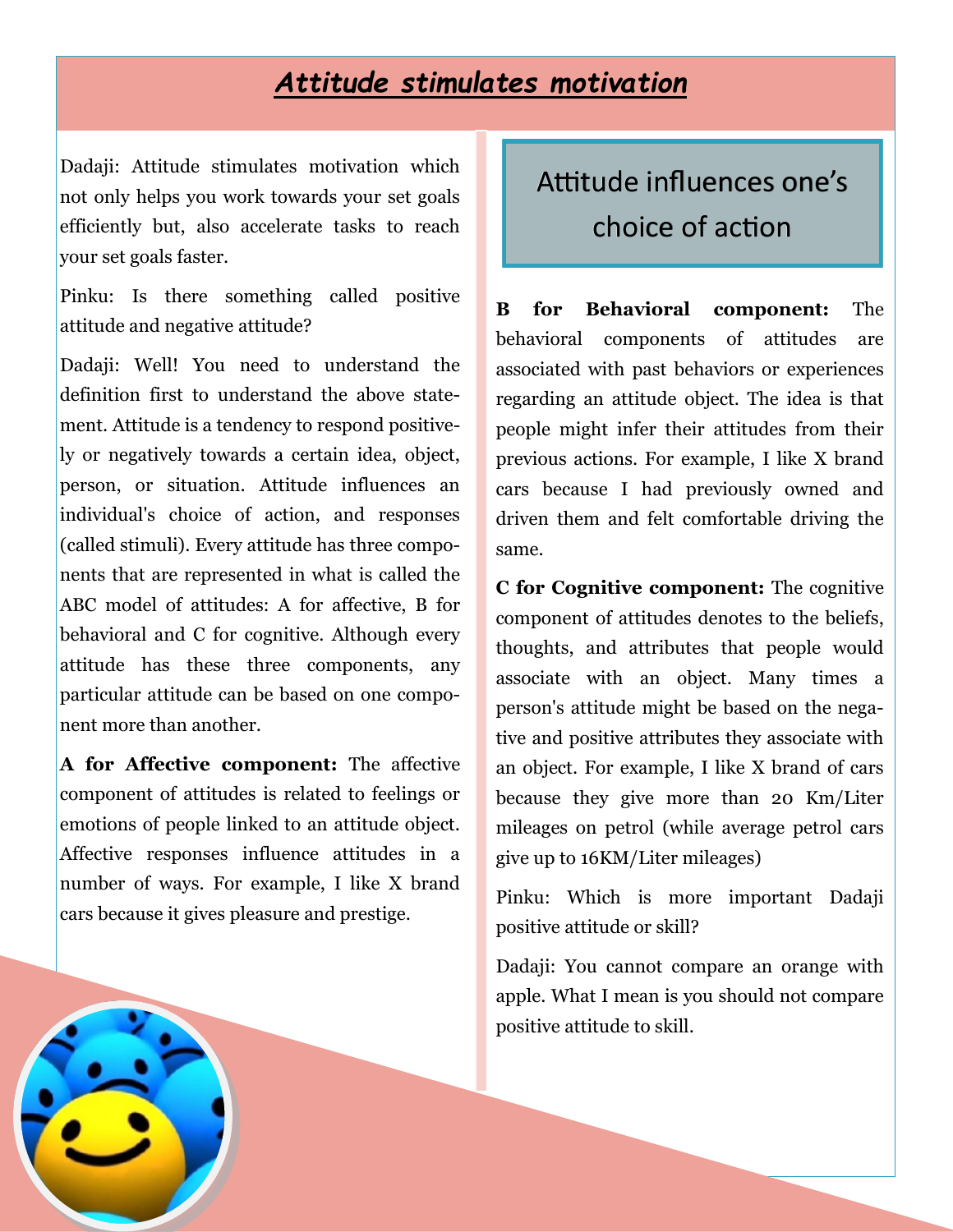#### *Attitude stimulates motivation*

Dadaji: Attitude stimulates motivation which not only helps you work towards your set goals efficiently but, also accelerate tasks to reach your set goals faster.

Pinku: Is there something called positive attitude and negative attitude?

Dadaji: Well! You need to understand the definition first to understand the above statement. Attitude is a tendency to respond positively or negatively towards a certain idea, object, person, or situation. Attitude influences an individual's choice of action, and responses (called stimuli). Every attitude has three components that are represented in what is called the ABC model of attitudes: A for affective, B for behavioral and C for cognitive. Although every attitude has these three components, any particular attitude can be based on one component more than another.

**A for Affective component:** The affective component of attitudes is related to feelings or emotions of people linked to an attitude object. Affective responses influence attitudes in a number of ways. For example, I like X brand cars because it gives pleasure and prestige.

### Attitude influences one's choice of action

**B for Behavioral component:** The behavioral components of attitudes are associated with past behaviors or experiences regarding an attitude object. The idea is that people might infer their attitudes from their previous actions. For example, I like X brand cars because I had previously owned and driven them and felt comfortable driving the same.

**C for Cognitive component:** The cognitive component of attitudes denotes to the beliefs, thoughts, and attributes that people would associate with an object. Many times a person's attitude might be based on the negative and positive attributes they associate with an object. For example, I like X brand of cars because they give more than 20 Km/Liter mileages on petrol (while average petrol cars give up to 16KM/Liter mileages)

Pinku: Which is more important Dadaji positive attitude or skill?

Dadaji: You cannot compare an orange with apple. What I mean is you should not compare positive attitude to skill.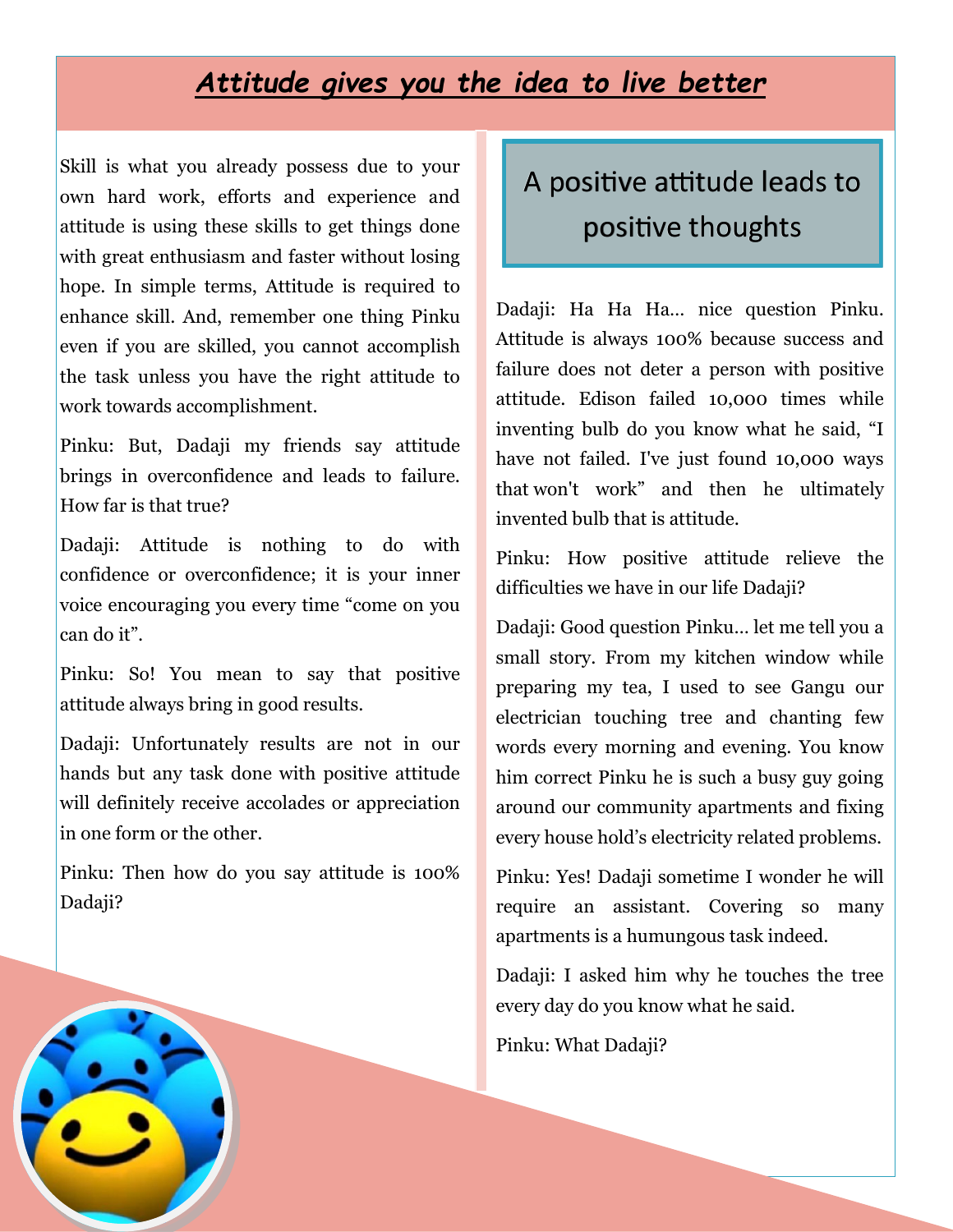#### *Attitude gives you the idea to live better*

Skill is what you already possess due to your own hard work, efforts and experience and attitude is using these skills to get things done with great enthusiasm and faster without losing hope. In simple terms, Attitude is required to enhance skill. And, remember one thing Pinku even if you are skilled, you cannot accomplish the task unless you have the right attitude to work towards accomplishment.

Pinku: But, Dadaji my friends say attitude brings in overconfidence and leads to failure. How far is that true?

Dadaji: Attitude is nothing to do with confidence or overconfidence; it is your inner voice encouraging you every time "come on you can do it".

Pinku: So! You mean to say that positive attitude always bring in good results.

Dadaji: Unfortunately results are not in our hands but any task done with positive attitude will definitely receive accolades or appreciation in one form or the other.

Pinku: Then how do you say attitude is 100% Dadaji?

# A positive attitude leads to positive thoughts

Dadaji: Ha Ha Ha… nice question Pinku. Attitude is always 100% because success and failure does not deter a person with positive attitude. Edison failed 10,000 times while inventing bulb do you know what he said, "I have not failed. I've just found 10,000 ways that won't work" and then he ultimately invented bulb that is attitude.

Pinku: How positive attitude relieve the difficulties we have in our life Dadaji?

Dadaji: Good question Pinku… let me tell you a small story. From my kitchen window while preparing my tea, I used to see Gangu our electrician touching tree and chanting few words every morning and evening. You know him correct Pinku he is such a busy guy going around our community apartments and fixing every house hold's electricity related problems.

Pinku: Yes! Dadaji sometime I wonder he will require an assistant. Covering so many apartments is a humungous task indeed.

Dadaji: I asked him why he touches the tree every day do you know what he said.

Pinku: What Dadaji?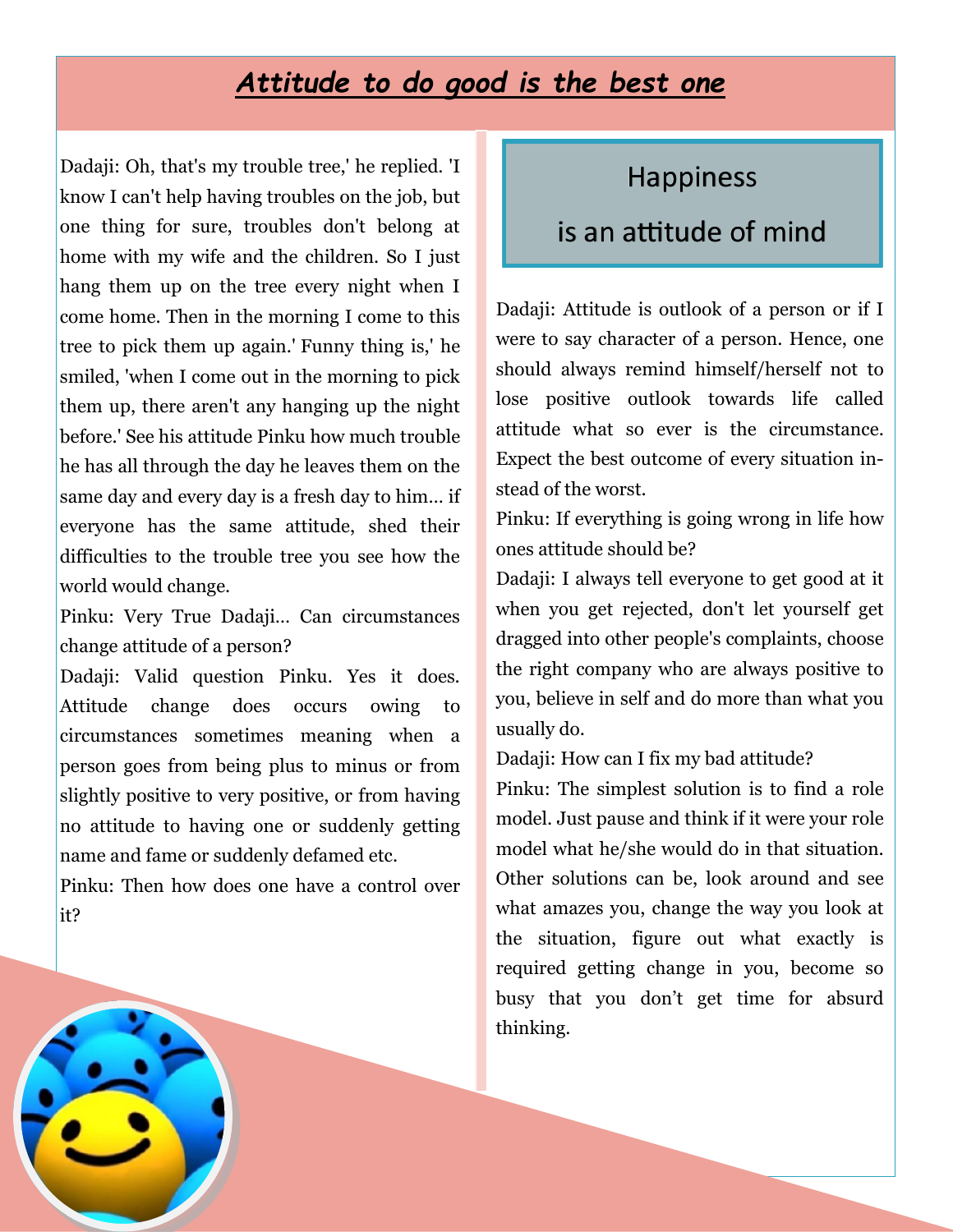#### *Attitude to do good is the best one*

Dadaji: Oh, that's my trouble tree,' he replied. 'I know I can't help having troubles on the job, but one thing for sure, troubles don't belong at home with my wife and the children. So I just hang them up on the tree every night when I come home. Then in the morning I come to this tree to pick them up again.' Funny thing is,' he smiled, 'when I come out in the morning to pick them up, there aren't any hanging up the night before.' See his attitude Pinku how much trouble he has all through the day he leaves them on the same day and every day is a fresh day to him… if everyone has the same attitude, shed their difficulties to the trouble tree you see how the world would change.

Pinku: Very True Dadaji… Can circumstances change attitude of a person?

Dadaji: Valid question Pinku. Yes it does. Attitude change does occurs owing to circumstances sometimes meaning when a person goes from being plus to minus or from slightly positive to very positive, or from having no attitude to having one or suddenly getting name and fame or suddenly defamed etc.

Pinku: Then how does one have a control over it?

#### Happiness

#### is an attitude of mind

Dadaji: Attitude is outlook of a person or if I were to say character of a person. Hence, one should always remind himself/herself not to lose positive outlook towards life called attitude what so ever is the circumstance. Expect the best outcome of every situation instead of the worst.

Pinku: If everything is going wrong in life how ones attitude should be?

Dadaji: I always tell everyone to get good at it when you get rejected, don't let yourself get dragged into other people's complaints, choose the right company who are always positive to you, believe in self and do more than what you usually do.

Dadaji: How can I fix my bad attitude?

Pinku: The simplest solution is to find a role model. Just pause and think if it were your role model what he/she would do in that situation. Other solutions can be, look around and see what amazes you, change the way you look at the situation, figure out what exactly is required getting change in you, become so busy that you don't get time for absurd thinking.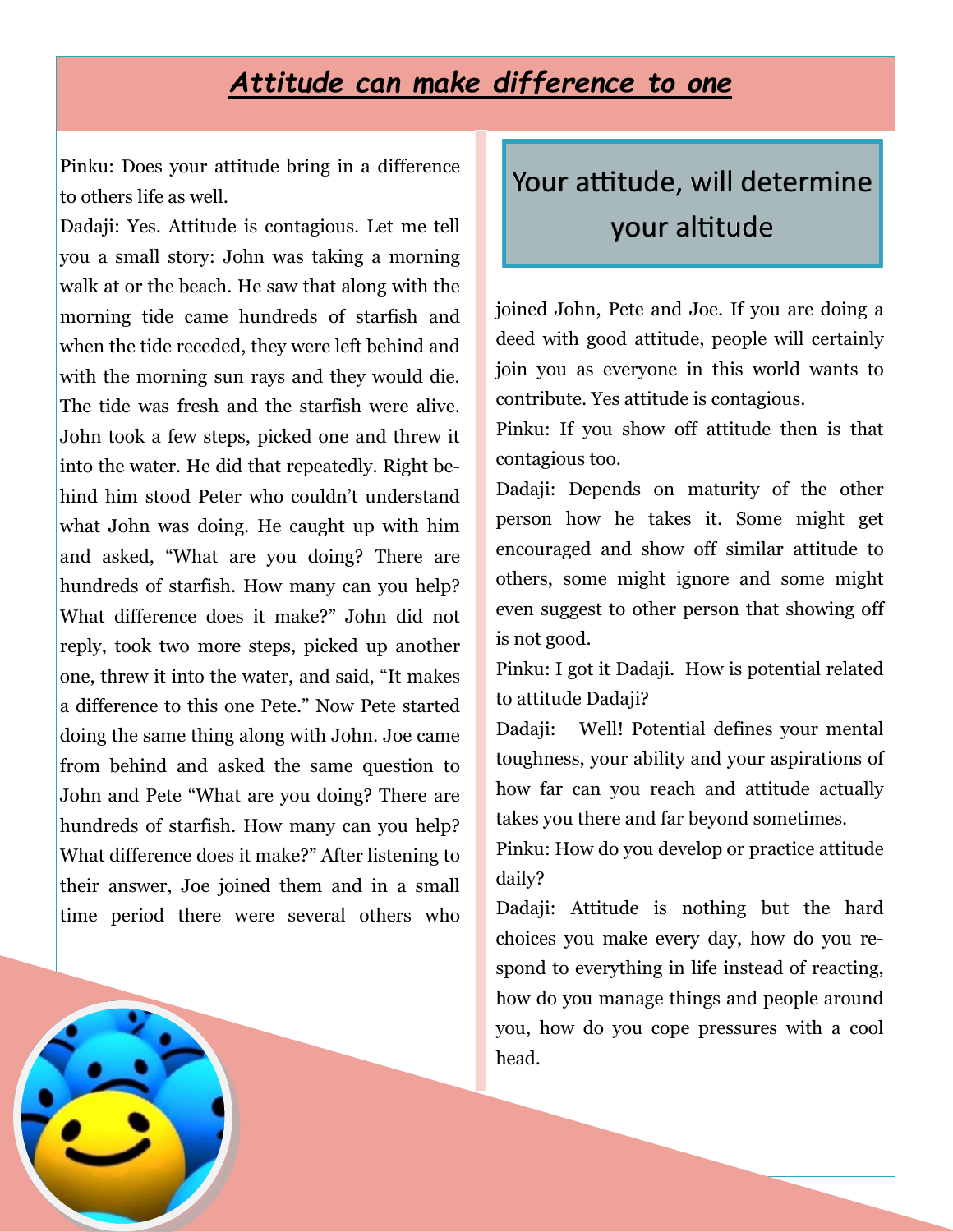#### *Attitude can make difference to one*

Pinku: Does your attitude bring in a difference to others life as well.

Dadaji: Yes. Attitude is contagious. Let me tell you a small story: John was taking a morning walk at or the beach. He saw that along with the morning tide came hundreds of starfish and when the tide receded, they were left behind and with the morning sun rays and they would die. The tide was fresh and the starfish were alive. John took a few steps, picked one and threw it into the water. He did that repeatedly. Right behind him stood Peter who couldn't understand what John was doing. He caught up with him and asked, "What are you doing? There are hundreds of starfish. How many can you help? What difference does it make?" John did not reply, took two more steps, picked up another one, threw it into the water, and said, "It makes a difference to this one Pete." Now Pete started doing the same thing along with John. Joe came from behind and asked the same question to John and Pete "What are you doing? There are hundreds of starfish. How many can you help? What difference does it make?" After listening to their answer, Joe joined them and in a small time period there were several others who Your attitude, will determine your altitude

joined John, Pete and Joe. If you are doing a deed with good attitude, people will certainly join you as everyone in this world wants to contribute. Yes attitude is contagious.

Pinku: If you show off attitude then is that contagious too.

Dadaji: Depends on maturity of the other person how he takes it. Some might get encouraged and show off similar attitude to others, some might ignore and some might even suggest to other person that showing off is not good.

Pinku: I got it Dadaji. How is potential related to attitude Dadaji?

Dadaji: Well! Potential defines your mental toughness, your ability and your aspirations of how far can you reach and attitude actually takes you there and far beyond sometimes.

Pinku: How do you develop or practice attitude daily?

Dadaji: Attitude is nothing but the hard choices you make every day, how do you respond to everything in life instead of reacting, how do you manage things and people around you, how do you cope pressures with a cool head.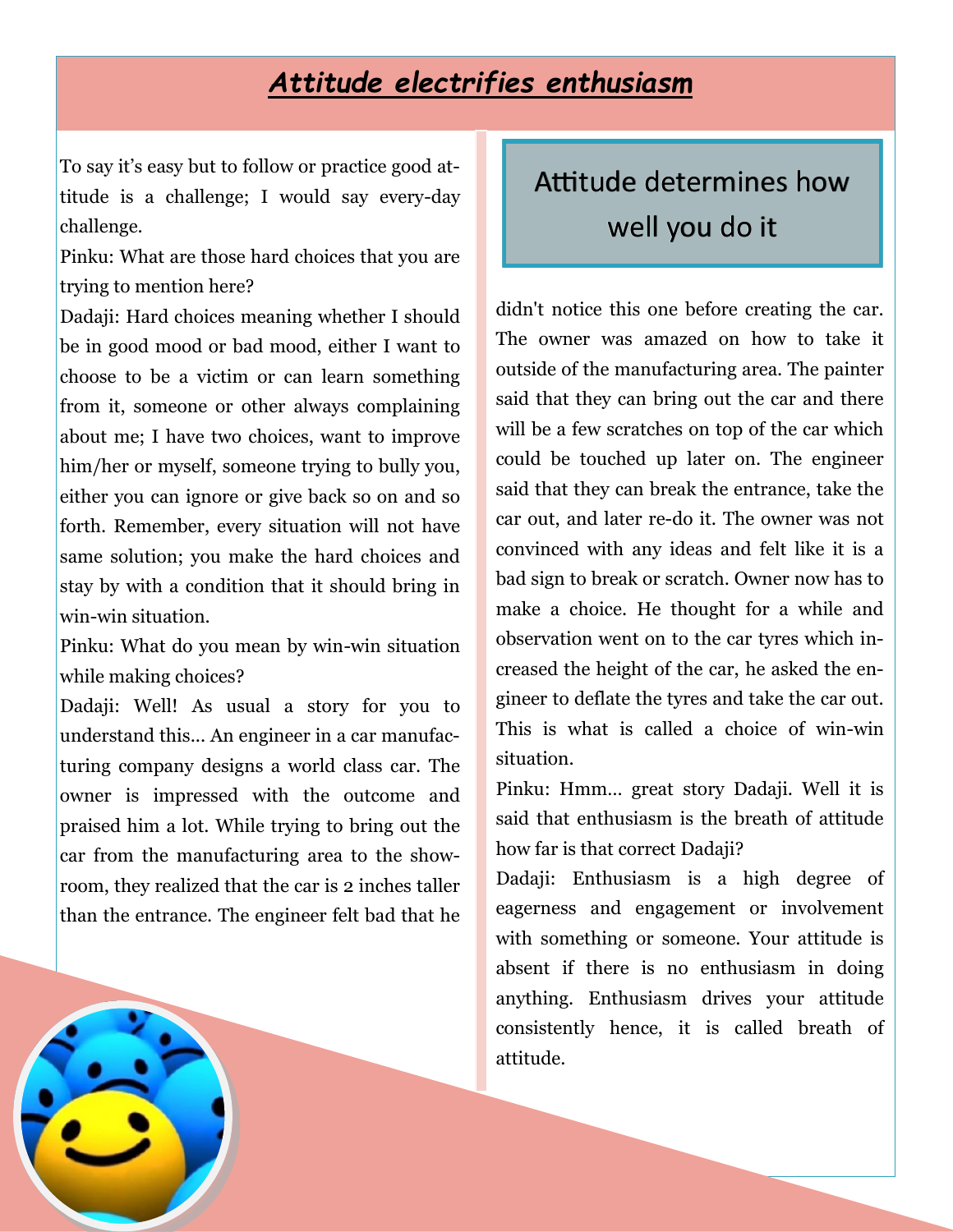### *Attitude electrifies enthusiasm*

To say it's easy but to follow or practice good attitude is a challenge; I would say every-day challenge.

Pinku: What are those hard choices that you are trying to mention here?

Dadaji: Hard choices meaning whether I should be in good mood or bad mood, either I want to choose to be a victim or can learn something from it, someone or other always complaining about me; I have two choices, want to improve him/her or myself, someone trying to bully you, either you can ignore or give back so on and so forth. Remember, every situation will not have same solution; you make the hard choices and stay by with a condition that it should bring in win-win situation.

Pinku: What do you mean by win-win situation while making choices?

Dadaji: Well! As usual a story for you to understand this... An engineer in a car manufacturing company designs a world class car. The owner is impressed with the outcome and praised him a lot. While trying to bring out the car from the manufacturing area to the showroom, they realized that the car is 2 inches taller than the entrance. The engineer felt bad that he

# Attitude determines how well you do it

didn't notice this one before creating the car. The owner was amazed on how to take it outside of the manufacturing area. The painter said that they can bring out the car and there will be a few scratches on top of the car which could be touched up later on. The engineer said that they can break the entrance, take the car out, and later re-do it. The owner was not convinced with any ideas and felt like it is a bad sign to break or scratch. Owner now has to make a choice. He thought for a while and observation went on to the car tyres which increased the height of the car, he asked the engineer to deflate the tyres and take the car out. This is what is called a choice of win-win situation.

Pinku: Hmm… great story Dadaji. Well it is said that enthusiasm is the breath of attitude how far is that correct Dadaii?

Dadaji: Enthusiasm is a high degree of eagerness and engagement or involvement with something or someone. Your attitude is absent if there is no enthusiasm in doing anything. Enthusiasm drives your attitude consistently hence, it is called breath of attitude.

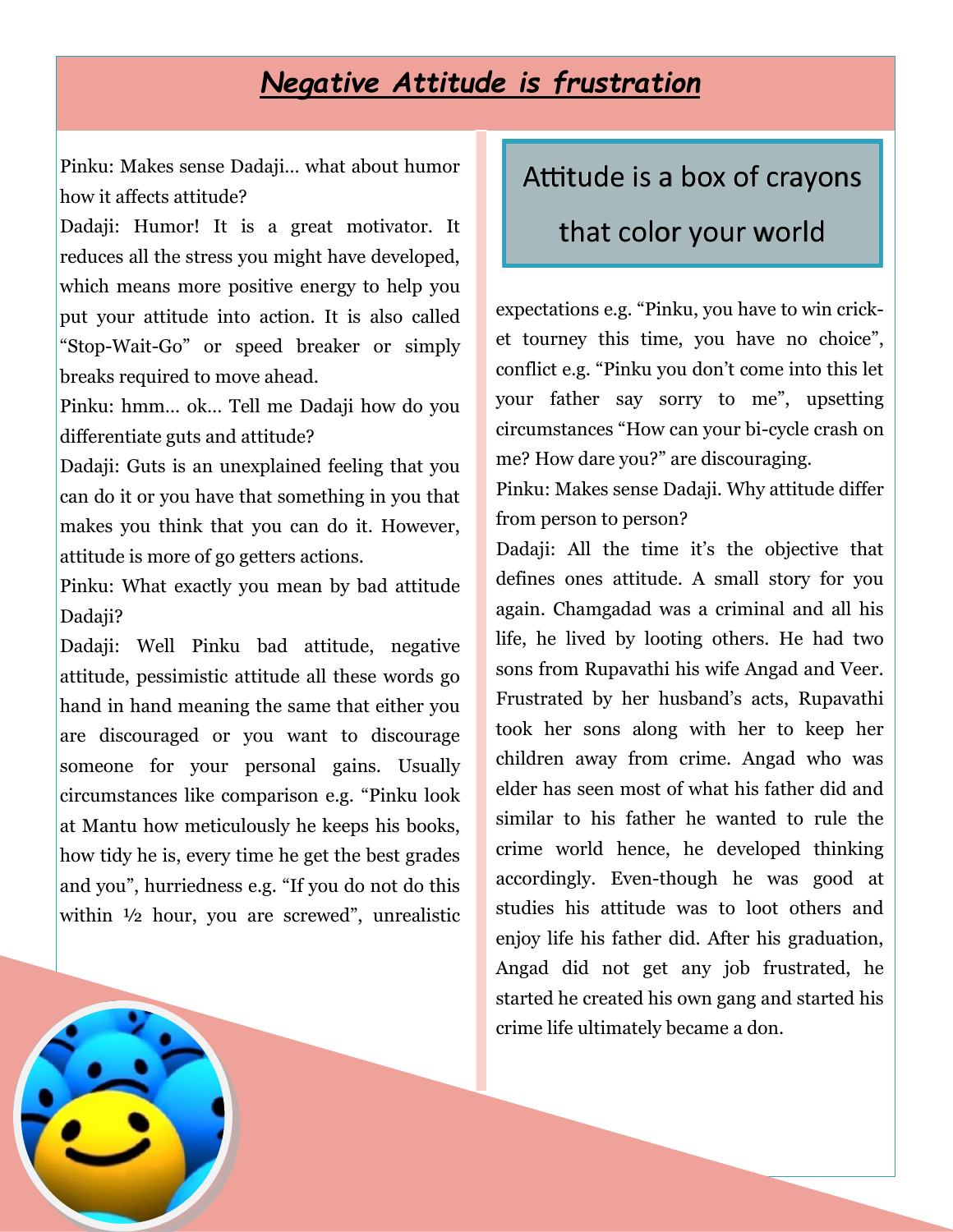#### *Negative Attitude is frustration*

Pinku: Makes sense Dadaji… what about humor how it affects attitude?

Dadaji: Humor! It is a great motivator. It reduces all the stress you might have developed, which means more positive energy to help you put your attitude into action. It is also called "Stop-Wait-Go" or speed breaker or simply breaks required to move ahead.

Pinku: hmm… ok… Tell me Dadaji how do you differentiate guts and attitude?

Dadaji: Guts is an unexplained feeling that you can do it or you have that something in you that makes you think that you can do it. However, attitude is more of go getters actions.

Pinku: What exactly you mean by bad attitude Dadaji?

Dadaji: Well Pinku bad attitude, negative attitude, pessimistic attitude all these words go hand in hand meaning the same that either you are discouraged or you want to discourage someone for your personal gains. Usually circumstances like comparison e.g. "Pinku look at Mantu how meticulously he keeps his books, how tidy he is, every time he get the best grades and you", hurriedness e.g. "If you do not do this within ½ hour, you are screwed", unrealistic

# Attitude is a box of crayons

#### that color your world

expectations e.g. "Pinku, you have to win cricket tourney this time, you have no choice", conflict e.g. "Pinku you don't come into this let your father say sorry to me", upsetting circumstances "How can your bi-cycle crash on me? How dare you?" are discouraging.

Pinku: Makes sense Dadaji. Why attitude differ from person to person?

Dadaji: All the time it's the objective that defines ones attitude. A small story for you again. Chamgadad was a criminal and all his life, he lived by looting others. He had two sons from Rupavathi his wife Angad and Veer. Frustrated by her husband's acts, Rupavathi took her sons along with her to keep her children away from crime. Angad who was elder has seen most of what his father did and similar to his father he wanted to rule the crime world hence, he developed thinking accordingly. Even-though he was good at studies his attitude was to loot others and enjoy life his father did. After his graduation, Angad did not get any job frustrated, he started he created his own gang and started his crime life ultimately became a don.

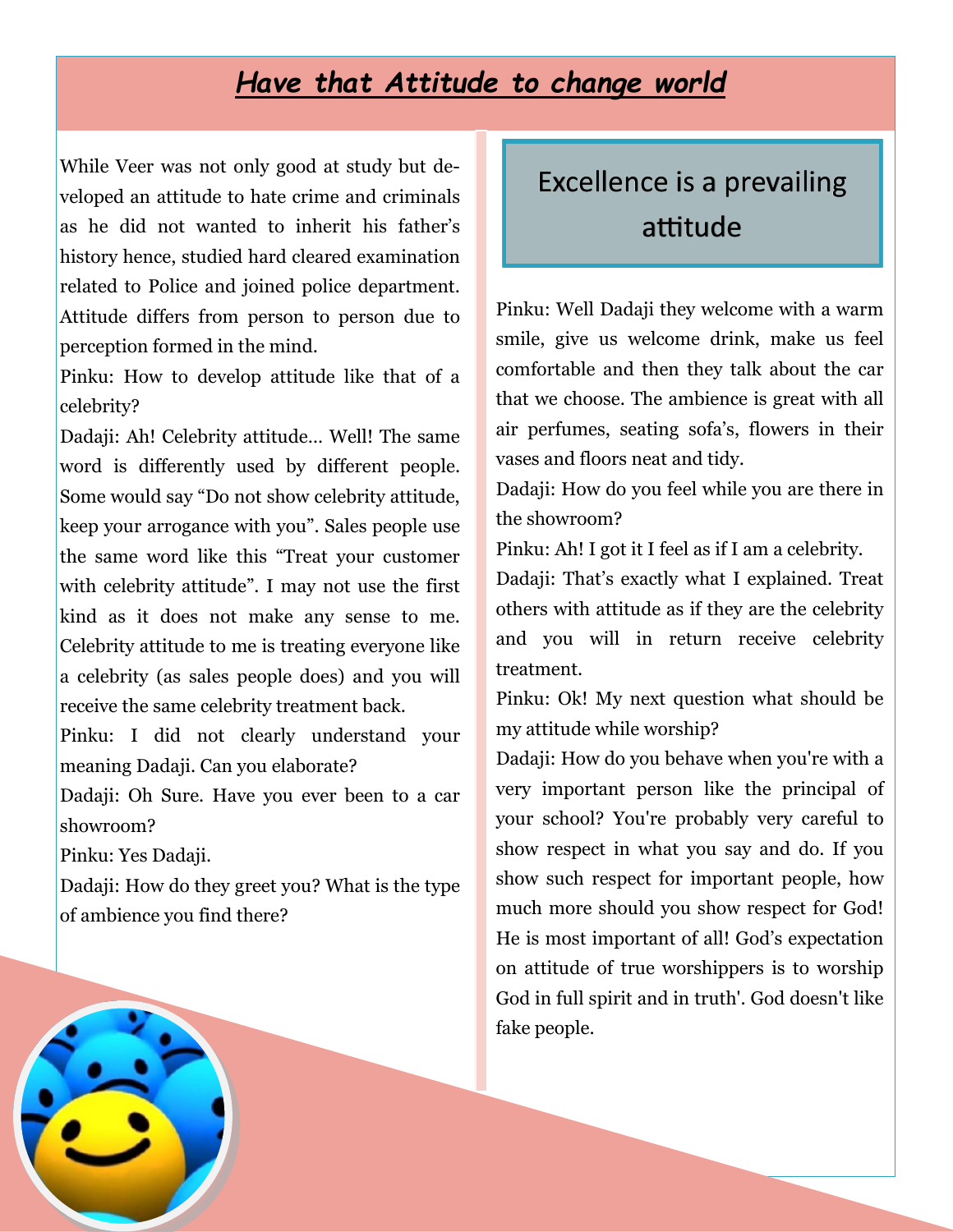#### *Have that Attitude to change world*

While Veer was not only good at study but developed an attitude to hate crime and criminals as he did not wanted to inherit his father's history hence, studied hard cleared examination related to Police and joined police department. Attitude differs from person to person due to perception formed in the mind.

Pinku: How to develop attitude like that of a celebrity?

Dadaji: Ah! Celebrity attitude… Well! The same word is differently used by different people. Some would say "Do not show celebrity attitude, keep your arrogance with you". Sales people use the same word like this "Treat your customer with celebrity attitude". I may not use the first kind as it does not make any sense to me. Celebrity attitude to me is treating everyone like a celebrity (as sales people does) and you will receive the same celebrity treatment back.

Pinku: I did not clearly understand your meaning Dadaji. Can you elaborate?

Dadaji: Oh Sure. Have you ever been to a car showroom?

Pinku: Yes Dadaji.

Dadaji: How do they greet you? What is the type of ambience you find there?

# Excellence is a prevailing attitude

Pinku: Well Dadaji they welcome with a warm smile, give us welcome drink, make us feel comfortable and then they talk about the car that we choose. The ambience is great with all air perfumes, seating sofa's, flowers in their vases and floors neat and tidy.

Dadaji: How do you feel while you are there in the showroom?

Pinku: Ah! I got it I feel as if I am a celebrity.

Dadaji: That's exactly what I explained. Treat others with attitude as if they are the celebrity and you will in return receive celebrity treatment.

Pinku: Ok! My next question what should be my attitude while worship?

Dadaji: How do you behave when you're with a very important person like the principal of your school? You're probably very careful to show respect in what you say and do. If you show such respect for important people, how much more should you show respect for God! He is most important of all! God's expectation on attitude of true worshippers is to worship God in full spirit and in truth'. God doesn't like fake people.